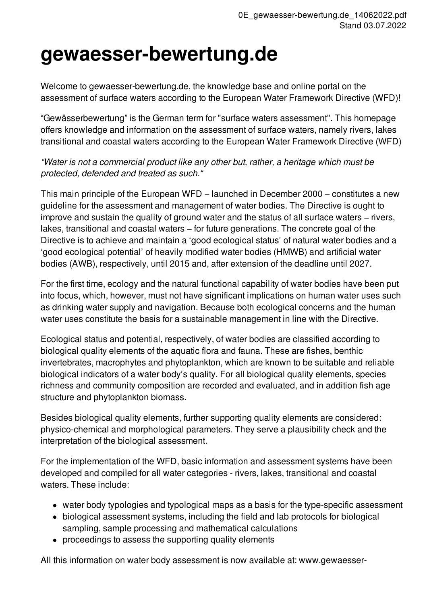## **gewaesser-bewertung.de**

Welcome to gewaesser-bewertung.de, the knowledge base and online portal on the assessment of surface waters according to the European Water Framework Directive (WFD)!

"Gewässerbewertung" is the German term for "surface waters assessment". This homepage offers knowledge and information on the assessment of surface waters, namely rivers, lakes transitional and coastal waters according to the European Water Framework Directive (WFD)

*"Water is not a commercial product like any other but, rather, a heritage which must be protected, defended and treated as such."*

This main principle of the European WFD – launched in December 2000 – constitutes a new guideline for the assessment and management of water bodies. The Directive is ought to improve and sustain the quality of ground water and the status of all surface waters − rivers, lakes, transitional and coastal waters − for future generations. The concrete goal of the Directive is to achieve and maintain a 'good ecological status' of natural water bodies and a 'good ecological potential' of heavily modified water bodies (HMWB) and artificial water bodies (AWB), respectively, until 2015 and, after extension of the deadline until 2027.

For the first time, ecology and the natural functional capability of water bodies have been put into focus, which, however, must not have significant implications on human water uses such as drinking water supply and navigation. Because both ecological concerns and the human water uses constitute the basis for a sustainable management in line with the Directive.

Ecological status and potential, respectively, of water bodies are classified according to biological quality elements of the aquatic flora and fauna. These are fishes, benthic invertebrates, macrophytes and phytoplankton, which are known to be suitable and reliable biological indicators of a water body's quality. For all biological quality elements, species richness and community composition are recorded and evaluated, and in addition fish age structure and phytoplankton biomass.

Besides biological quality elements, further supporting quality elements are considered: physico-chemical and morphological parameters. They serve a plausibility check and the interpretation of the biological assessment.

For the implementation of the WFD, basic information and assessment systems have been developed and compiled for all water categories - rivers, lakes, transitional and coastal waters. These include:

- water body typologies and typological maps as a basis for the type-specific assessment
- biological assessment systems, including the field and lab protocols for biological sampling, sample processing and mathematical calculations
- proceedings to assess the supporting quality elements

All this information on water body assessment is now available at: www.gewaesser-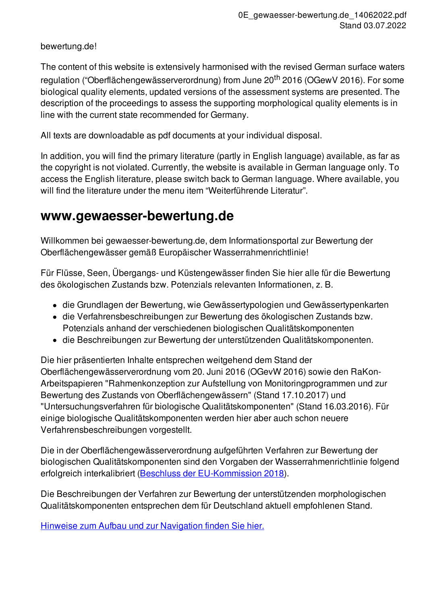bewertung.de!

The content of this website is extensively harmonised with the revised German surface waters regulation ("Oberflächengewässerverordnung) from June 20<sup>th</sup> 2016 (OGewV 2016). For some biological quality elements, updated versions of the assessment systems are presented. The description of the proceedings to assess the supporting morphological quality elements is in line with the current state recommended for Germany.

All texts are downloadable as pdf documents at your individual disposal.

In addition, you will find the primary literature (partly in English language) available, as far as the copyright is not violated. Currently, the website is available in German language only. To access the English literature, please switch back to German language. Where available, you will find the literature under the menu item "Weiterführende Literatur".

## **www.gewaesser-bewertung.de**

Willkommen bei gewaesser-bewertung.de, dem Informationsportal zur Bewertung der Oberflächengewässer gemäß Europäischer Wasserrahmenrichtlinie!

Für Flüsse, Seen, Übergangs- und Küstengewässer finden Sie hier alle für die Bewertung des ökologischen Zustands bzw. Potenzials relevanten Informationen, z. B.

- die Grundlagen der Bewertung, wie Gewässertypologien und Gewässertypenkarten
- die Verfahrensbeschreibungen zur Bewertung des ökologischen Zustands bzw. Potenzials anhand der verschiedenen biologischen Qualitätskomponenten
- die Beschreibungen zur Bewertung der unterstützenden Qualitätskomponenten.

Die hier präsentierten Inhalte entsprechen weitgehend dem Stand der Oberflächengewässerverordnung vom 20. Juni 2016 (OGevW 2016) sowie den RaKon-Arbeitspapieren "Rahmenkonzeption zur Aufstellung von Monitoringprogrammen und zur Bewertung des Zustands von Oberflächengewässern" (Stand 17.10.2017) und "Untersuchungsverfahren für biologische Qualitätskomponenten" (Stand 16.03.2016). Für einige biologische Qualitätskomponenten werden hier aber auch schon neuere Verfahrensbeschreibungen vorgestellt.

Die in der Oberflächengewässerverordnung aufgeführten Verfahren zur Bewertung der biologischen Qualitätskomponenten sind den Vorgaben der Wasserrahmenrichtlinie folgend erfolgreich interkalibriert (Beschluss der [EU-Kommission](http://eur-lex.europa.eu/legal-content/EN/TXT/?qid=1519131448747&uri=CELEX:32018D0229) 2018).

Die Beschreibungen der Verfahren zur Bewertung der unterstützenden morphologischen Qualitätskomponenten entsprechen dem für Deutschland aktuell empfohlenen Stand.

Hinweise zum Aufbau und zur [Navigation](redaxo://433) finden Sie hier.